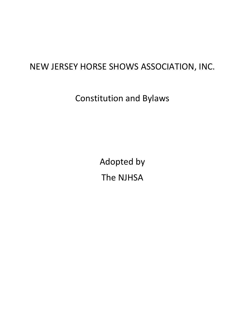# NEW JERSEY HORSE SHOWS ASSOCIATION, INC.

Constitution and Bylaws

Adopted by The NJHSA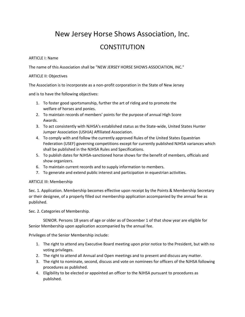## New Jersey Horse Shows Association, Inc.

### **CONSTITUTION**

#### ARTICLE I: Name

The name of this Association shall be "NEW JERSEY HORSE SHOWS ASSOCIATION, INC."

#### ARTICLE II: Objectives

The Association is to incorporate as a non-profit corporation in the State of New Jersey

and is to have the following objectives:

- 1. To foster good sportsmanship, further the art of riding and to promote the welfare of horses and ponies.
- 2. To maintain records of members' points for the purpose of annual High Score Awards.
- 3. To act consistently with NJHSA's established status as the State-wide, United States Hunter Jumper Association (USHJA) Affiliated Association.
- 4. To comply with and follow the currently approved Rules of the United States Equestrian Federation (USEF) governing competitions except for currently published NJHSA variances which shall be published in the NJHSA Rules and Specifications.
- 5. To publish dates for NJHSA-sanctioned horse shows for the benefit of members, officials and show organizers.
- 6. To maintain current records and to supply information to members.
- 7. To generate and extend public interest and participation in equestrian activities.

#### ARTICLE III: Membership

Sec. 1. Application. Membership becomes effective upon receipt by the Points & Membership Secretary or their designee, of a properly filled out membership application accompanied by the annual fee as published.

Sec. 2. Categories of Membership.

SENIOR. Persons 18 years of age or older as of December 1 of that show year are eligible for Senior Membership upon application accompanied by the annual fee.

Privileges of the Senior Membership include:

- 1. The right to attend any Executive Board meeting upon prior notice to the President, but with no voting privileges.
- 2. The right to attend all Annual and Open meetings and to present and discuss any matter.
- 3. The right to nominate, second, discuss and vote on nominees for officers of the NJHSA following procedures as published.
- 4. Eligibility to be elected or appointed an officer to the NJHSA pursuant to procedures as published.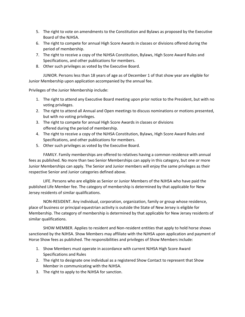- 5. The right to vote on amendments to the Constitution and Bylaws as proposed by the Executive Board of the NJHSA.
- 6. The right to compete for annual High Score Awards in classes or divisions offered during the period of membership.
- 7. The right to receive a copy of the NJHSA Constitution, Bylaws, High Score Award Rules and Specifications, and other publications for members.
- 8. Other such privileges as voted by the Executive Board.

JUNIOR. Persons less than 18 years of age as of December 1 of that show year are eligible for Junior Membership upon application accompanied by the annual fee.

Privileges of the Junior Membership include:

- 1. The right to attend any Executive Board meeting upon prior notice to the President, but with no voting privileges.
- 2. The right to attend all Annual and Open meetings to discuss nominations or motions presented, but with no voting privileges.
- 3. The right to compete for annual High Score Awards in classes or divisions offered during the period of membership.
- 4. The right to receive a copy of the NJHSA Constitution, Bylaws, High Score Award Rules and Specifications, and other publications for members.
- 5. Other such privileges as voted by the Executive Board.

FAMILY. Family memberships are offered to relatives having a common residence with annual fees as published. No more than two Senior Memberships can apply in this category, but one or more Junior Memberships can apply. The Senior and Junior members will enjoy the same privileges as their respective Senior and Junior categories defined above.

LIFE. Persons who are eligible as Senior or Junior Members of the NJHSA who have paid the published Life Member fee. The category of membership is determined by that applicable for New Jersey residents of similar qualifications.

NON-RESIDENT. Any individual, corporation, organization, family or group whose residence, place of business or principal equestrian activity is outside the State of New Jersey is eligible for Membership. The category of membership is determined by that applicable for New Jersey residents of similar qualifications.

SHOW MEMBER. Applies to resident and Non-resident entities that apply to hold horse shows sanctioned by the NJHSA. Show Members may affiliate with the NJHSA upon application and payment of Horse Show fees as published. The responsibilities and privileges of Show Members include:

- 1. Show Members must operate in accordance with current NJHSA High Score Award Specifications and Rules
- 2. The right to designate one individual as a registered Show Contact to represent that Show Member in communicating with the NJHSA.
- 3. The right to apply to the NJHSA for sanction.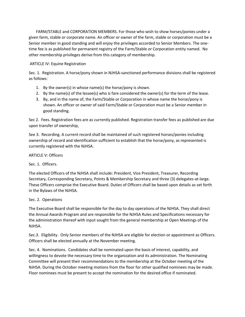FARM/STABLE and CORPORATION MEMBERS. For those who wish to show horses/ponies under a given farm, stable or corporate name. An officer or owner of the farm, stable or corporation must be a Senior member in good standing and will enjoy the privileges accorded to Senior Members. The onetime fee is as published for permanent registry of the Farm/Stable or Corporation entity named. No other membership privileges derive from this category of membership.

#### ARTICLE IV: Equine Registration

Sec. 1. Registration. A horse/pony shown in NJHSA-sanctioned performance divisions shall be registered as follows:

- 1. By the owner(s) in whose name(s) the horse/pony is shown.
- 2. By the name(s) of the lessee(s) who is fare considered the owner(s) for the term of the lease.
- 3. By, and in the name of, the Farm/Stable or Corporation in whose name the horse/pony is shown. An officer or owner of said Farm/Stable or Corporation must be a Senior member in good standing.

Sec 2. Fees. Registration fees are as currently published. Registration transfer fees as published are due upon transfer of ownership,

See 3. Recording. A current record shall be maintained of such registered horses/ponies including ownership of record and identification sufficient to establish that the horse/pony, as represented is currently registered with the NJHSA.

ARTICLE V: Officers

Sec. 1. Officers.

The elected Officers of the NJHSA shall include: President, Vice President, Treasurer, Recording Secretary, Corresponding Secretary, Points & Membership Secretary and three (3) delegates-at-large. These Officers comprise the Executive Board. Duties of Officers shall be based upon details as set forth in the Bylaws of the NJHSA.

#### Sec. 2. Operations

The Executive Board shall be responsible for the day to day operations of the NJHSA. They shall direct the Annual Awards Program and are responsible for the NJHSA Rules and Specifications necessary for the administration thereof with input sought from the general membership at Open Meetings of the NJHSA.

Sec.3. Eligibility. Only Senior members of the NJHSA are eligible for election or appointment as Officers. Officers shall be elected annually at the November meeting.

Sec. 4. Nominations. Candidates shall be nominated upon the basis of interest, capability, and willingness to devote the necessary time to the organization and its administration. The Nominating Committee will present their recommendations to the membership at the October meeting of the NJHSA. During the October meeting motions from the floor for other qualified nominees may be made. Floor nominees must be present to accept the nomination for the desired office if nominated.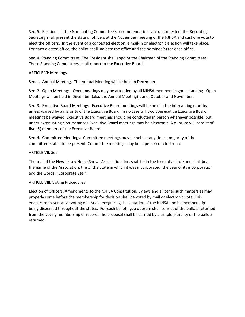Sec. 5. Elections. If the Nominating Committee's recommendations are uncontested, the Recording Secretary shall present the slate of officers at the November meeting of the NJHSA and cast one vote to elect the officers. In the event of a contested election, a mail-in or electronic election will take place. For each elected office, the ballot shall indicate the office and the nominee(s) for each office.

Sec. 4. Standing Committees. The President shall appoint the Chairmen of the Standing Committees. These Standing Committees, shall report to the Executive Board.

#### ARTICLE VI: Meetings

Sec. 1. Annual Meeting. The Annual Meeting will be held in December.

Sec. 2. Open Meetings. Open meetings may be attended by all NJHSA members in good standing. Open Meetings will be held in December (also the Annual Meeting), June, October and November.

Sec. 3. Executive Board Meetings. Executive Board meetings will be held in the intervening months unless waived by a majority of the Executive Board. In no case will two consecutive Executive Board meetings be waived. Executive Board meetings should be conducted in person whenever possible, but under extenuating circumstances Executive Board meetings may be electronic. A quorum will consist of five (5) members of the Executive Board.

Sec. 4. Committee Meetings. Committee meetings may be held at any time a majority of the committee is able to be present. Committee meetings may be in person or electronic.

#### ARTICLE VII: Seal

The seal of the New Jersey Horse Shows Association, Inc. shall be in the form of a circle and shall bear the name of the Association, the of the State in which it was incorporated, the year of its incorporation and the words, "Corporate Seal".

#### ARTICLE VIII: Voting Procedures

Election of Officers, Amendments to the NJHSA Constitution, Bylaws and all other such matters as may properly come before the membership for decision shall be voted by mail or electronic vote. This enables representative voting on issues recognizing the situation of the NJHSA and its membership being dispersed throughout the states. For such balloting, a quorum shall consist of the ballots returned from the voting membership of record. The proposal shall be carried by a simple plurality of the ballots returned.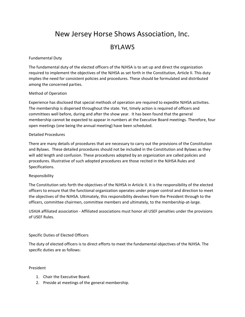# New Jersey Horse Shows Association, Inc.

### BYLAWS

#### Fundamental Duty

The fundamental duty of the elected officers of the NJHSA is to set up and direct the organization required to implement the objectives of the NJHSA as set forth in the Constitution, Article II. This duty implies the need for consistent policies and procedures. These should be formulated and distributed among the concerned parties.

#### Method of Operation

Experience has disclosed that special methods of operation are required to expedite NJHSA activities. The membership is dispersed throughout the state. Yet, timely action is required of officers and committees well before, during and after the show year. It has been found that the general membership cannot be expected to appear in numbers at the Executive Board meetings. Therefore, four open meetings (one being the annual meeting) have been scheduled.

#### Detailed Procedures

There are many details of procedures that are necessary to carry out the provisions of the Constitution and Bylaws. These detailed procedures should not be included in the Constitution and Bylaws as they will add length and confusion. These procedures adopted by an organization are called policies and procedures. Illustrative of such adopted procedures are those recited in the NJHSA Rules and Specifications.

#### Responsibility

The Constitution sets forth the objectives of the NJHSA in Article II. It is the responsibility of the elected officers to ensure that the functional organization operates under proper control and direction to meet the objectives of the NJHSA. Ultimately, this responsibility devolves from the President through to the officers, committee chairmen, committee members and ultimately, to the membership-at-large.

USHJA affiliated association - Affiliated associations must honor all USEF penalties under the provisions of USEF Rules.

#### Specific Duties of Elected Officers

The duty of elected officers is to direct efforts to meet the fundamental objectives of the NJHSA. The specific duties are as follows:

#### President

- 1. Chair the Executive Board.
- 2. Preside at meetings of the general membership.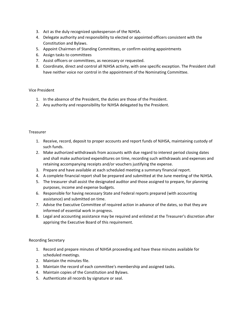- 3. Act as the duly recognized spokesperson of the NJHSA.
- 4. Delegate authority and responsibility to elected or appointed officers consistent with the Constitution and Bylaws.
- 5. Appoint Chairmen of Standing Committees, or confirm existing appointments
- 6. Assign tasks to committees
- 7. Assist officers or committees, as necessary or requested.
- 8. Coordinate, direct and control all NJHSA activity, with one specific exception. The President shall have neither voice nor control in the appointment of the Nominating Committee.

#### Vice President

- 1. In the absence of the President, the duties are those of the President.
- 2. Any authority and responsibility for NJHSA delegated by the President.

#### Treasurer

- 1. Receive, record, deposit to proper accounts and report funds of NJHSA, maintaining custody of such funds.
- 2. Make authorized withdrawals from accounts with due regard to interest period closing dates and shall make authorized expenditures on time, recording such withdrawals and expenses and retaining accompanying receipts and/or vouchers justifying the expense.
- 3. Prepare and have available at each scheduled meeting a summary financial report.
- 4. A complete financial report shall be prepared and submitted at the June meeting of the NJHSA.
- 5. The treasurer shall assist the designated auditor and those assigned to prepare, for planning purposes, income and expense budgets.
- 6. Responsible for having necessary State and Federal reports prepared (with accounting assistance) and submitted on time.
- 7. Advise the Executive Committee of required action in advance of the dates, so that they are informed of essential work in progress.
- 8. Legal and accounting assistance may be required and enlisted at the Treasurer's discretion after apprising the Executive Board of this requirement.

#### Recording Secretary

- 1. Record and prepare minutes of NJHSA proceeding and have these minutes available for scheduled meetings.
- 2. Maintain the minutes file.
- 3. Maintain the record of each committee's membership and assigned tasks.
- 4. Maintain copies of the Constitution and Bylaws.
- 5. Authenticate all records by signature or seal.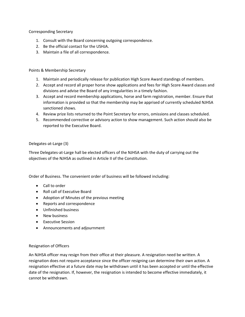Corresponding Secretary

- 1. Consult with the Board concerning outgoing correspondence.
- 2. Be the official contact for the USHJA.
- 3. Maintain a file of all correspondence.

#### Points & Membership Secretary

- 1. Maintain and periodically release for publication High Score Award standings of members.
- 2. Accept and record all proper horse show applications and fees for High Score Award classes and divisions and advise the Board of any irregularities in a timely fashion.
- 3. Accept and record membership applications, horse and farm registration, member. Ensure that information is provided so that the membership may be apprised of currently scheduled NJHSA sanctioned shows.
- 4. Review prize lists returned to the Point Secretary for errors, omissions and classes scheduled.
- 5. Recommended corrective or advisory action to show management. Such action should also be reported to the Executive Board.

#### Delegates-at-Large (3)

Three Delegates-at-Large hall be elected officers of the NJHSA with the duty of carrying out the objectives of the NJHSA as outlined in Article II of the Constitution.

Order of Business. The convenient order of business will be followed including:

- Call to order
- Roll call of Executive Board
- Adoption of Minutes of the previous meeting
- Reports and correspondence
- Unfinished business
- New business
- Executive Session
- Announcements and adjournment

#### Resignation of Officers

An NJHSA officer may resign from their office at their pleasure. A resignation need be written. A resignation does not require acceptance since the officer resigning can determine their own action. A resignation effective at a future date may be withdrawn until it has been accepted or until the effective date of the resignation. If, however, the resignation is intended to become effective immediately, it cannot be withdrawn.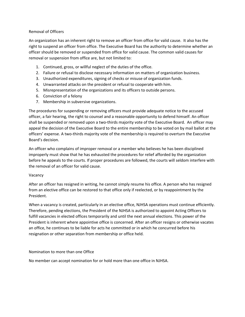#### Removal of Officers

An organization has an inherent right to remove an officer from office for valid cause. It also has the right to suspend an officer from office. The Executive Board has the authority to determine whether an officer should be removed or suspended from office for valid cause. The common valid causes for removal or suspension from office are, but not limited to:

- 1. Continued, gross, or willful neglect of the duties of the office.
- 2. Failure or refusal to disclose necessary information on matters of organization business.
- 3. Unauthorized expenditures, signing of checks or misuse of organization funds.
- 4. Unwarranted attacks on the president or refusal to cooperate with him.
- 5. Misrepresentation of the organizations and its officers to outside persons.
- 6. Conviction of a felony
- 7. Membership in subversive organizations.

The procedures for suspending or removing officers must provide adequate notice to the accused officer, a fair hearing, the right to counsel and a reasonable opportunity to defend himself. An officer shall be suspended or removed upon a two-thirds majority vote of the Executive Board. An officer may appeal the decision of the Executive Board to the entire membership to be voted on by mail ballot at the officers' expense. A two-thirds majority vote of the membership is required to overturn the Executive Board's decision.

An officer who complains of improper removal or a member who believes he has been disciplined improperly must show that he has exhausted the procedures for relief afforded by the organization before he appeals to the courts. If proper procedures are followed, the courts will seldom interfere with the removal of an officer for valid cause.

#### Vacancy

After an officer has resigned in writing, he cannot simply resume his office. A person who has resigned from an elective office can be restored to that office only if reelected, or by reappointment by the President.

When a vacancy is created, particularly in an elective office, NJHSA operations must continue efficiently. Therefore, pending elections, the President of the NJHSA is authorized to appoint Acting Officers to fulfill vacancies in elected offices temporarily and until the next annual elections. This power of the President is inherent where appointive office is concerned. After an officer resigns or otherwise vacates an office, he continues to be liable for acts he committed or in which he concurred before his resignation or other separation from membership or office held.

Nomination to more than one Office

No member can accept nomination for or hold more than one office in NJHSA.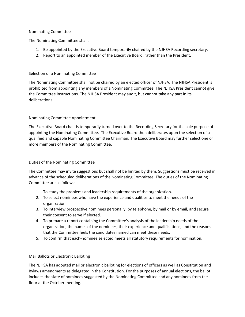#### Nominating Committee

The Nominating Committee shall:

- 1. Be appointed by the Executive Board temporarily chaired by the NJHSA Recording secretary.
- 2. Report to an appointed member of the Executive Board, rather than the President.

#### Selection of a Nominating Committee

The Nominating Committee shall not be chaired by an elected officer of NJHSA. The NJHSA President is prohibited from appointing any members of a Nominating Committee. The NJHSA President cannot give the Committee instructions. The NJHSA President may audit, but cannot take any part in its deliberations.

#### Nominating Committee Appointment

The Executive Board chair is temporarily turned over to the Recording Secretary for the sole purpose of appointing the Nominating Committee. The Executive Board then deliberates upon the selection of a qualified and capable Nominating Committee Chairman. The Executive Board may further select one or more members of the Nominating Committee.

#### Duties of the Nominating Committee

The Committee may invite suggestions but shall not be limited by them. Suggestions must be received in advance of the scheduled deliberations of the Nominating Committee. The duties of the Nominating Committee are as follows:

- 1. To study the problems and leadership requirements of the organization.
- 2. To select nominees who have the experience and qualities to meet the needs of the organization.
- 3. To interview prospective nominees personally, by telephone, by mail or by email, and secure their consent to serve if elected.
- 4. To prepare a report containing the Committee's analysis of the leadership needs of the organization, the names of the nominees, their experience and qualifications, and the reasons that the Committee feels the candidates named can meet these needs.
- 5. To confirm that each-nominee selected meets all statutory requirements for nomination.

#### Mail Ballots or Electronic Balloting

The NJHSA has adopted mail or electronic balloting for elections of officers as well as Constitution and Bylaws amendments as delegated in the Constitution. For the purposes of annual elections, the ballot includes the slate of nominees suggested by the Nominating Committee and any nominees from the floor at the October meeting.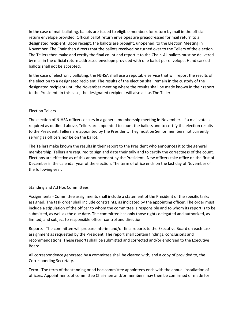In the case of mail balloting, ballots are issued to eligible members for return by mail in the official return envelope provided. Official ballot return envelopes are preaddressed for mail return to a designated recipient. Upon receipt, the ballots are brought, unopened, to the Election Meeting in November. The Chair then directs that the ballots received be turned over to the Tellers of the election. The Tellers then make and certify the final count and report it to the Chair. All ballots must be delivered by mail in the official return addressed envelope provided with one ballot per envelope. Hand carried ballots shall not be accepted.

In the case of electronic balloting, the NJHSA shall use a reputable service that will report the results of the election to a designated recipient. The results of the election shall remain in the custody of the designated recipient until the November meeting where the results shall be made known in their report to the President. In this case, the designated recipient will also act as The Teller.

#### Election Tellers

The election of NJHSA officers occurs in a general membership meeting in November. If a mail vote is required as outlined above, Tellers are appointed to count the ballots and to certify the election results to the President. Tellers are appointed by the President. They must be Senior members not currently serving as officers nor be on the ballot.

The Tellers make known the results in their report to the President who announces it to the general membership. Tellers are required to sign and date their tally and to certify the correctness of the count. Elections are effective as of this announcement by the President. New officers take office on the first of December in the calendar year of the election. The term of office ends on the last day of November of the following year.

#### Standing and Ad Hoc Committees

Assignments - Committee assignments shall include a statement of the President of the specific tasks assigned. The task order shall include constraints, as indicated by the appointing officer. The order must include a stipulation of the officer to whom the committee is responsible and to whom its report is to be submitted, as well as the due date. The committee has only those rights delegated and authorized, as limited, and subject to responsible officer control and direction.

Reports - The committee will prepare interim and/or final reports to the Executive Board on each task assignment as requested by the President. The report shall contain findings, conclusions and recommendations. These reports shall be submitted and corrected and/or endorsed to the Executive Board.

All correspondence generated by a committee shall be cleared with, and a copy of provided to, the Corresponding Secretary.

Term - The term of the standing or ad hoc committee appointees ends with the annual installation of officers. Appointments of committee Chairmen and/or members may then be confirmed or made for